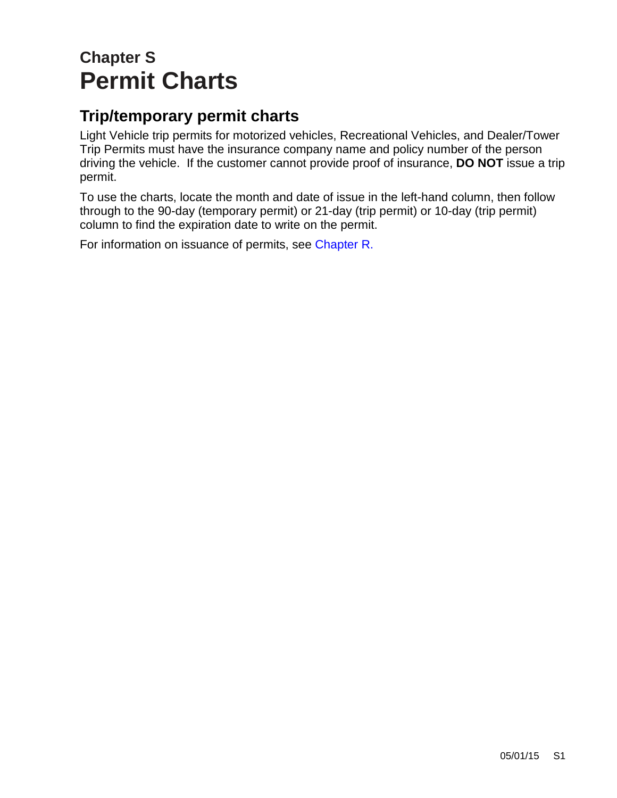# **Chapter S Permit Charts**

#### **Trip/temporary permit charts**

Light Vehicle trip permits for motorized vehicles, Recreational Vehicles, and Dealer/Tower Trip Permits must have the insurance company name and policy number of the person driving the vehicle. If the customer cannot provide proof of insurance, **DO NOT** issue a trip permit.

To use the charts, locate the month and date of issue in the left-hand column, then follow through to the 90-day (temporary permit) or 21-day (trip permit) or 10-day (trip permit) column to find the expiration date to write on the permit.

For information on issuance of permits, see [Chapter R.](https://www.oregon.gov/ODOT/DMV/docs/VTRH/Chapter_R.pdf)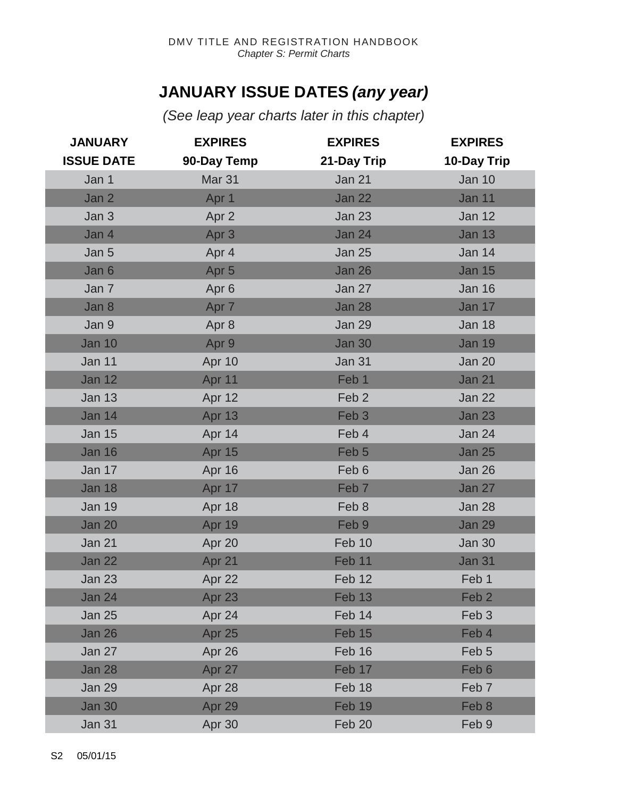#### **JANUARY ISSUE DATES** *(any year)*

*(See leap year charts later in this chapter)* 

| <b>JANUARY</b>    | <b>EXPIRES</b>    | <b>EXPIRES</b>   | <b>EXPIRES</b>   |
|-------------------|-------------------|------------------|------------------|
| <b>ISSUE DATE</b> | 90-Day Temp       | 21-Day Trip      | 10-Day Trip      |
| Jan 1             | Mar <sub>31</sub> | Jan 21           | <b>Jan 10</b>    |
| Jan 2             | Apr 1             | <b>Jan 22</b>    | Jan 11           |
| Jan 3             | Apr 2             | <b>Jan 23</b>    | <b>Jan 12</b>    |
| Jan 4             | Apr <sub>3</sub>  | <b>Jan 24</b>    | <b>Jan 13</b>    |
| Jan 5             | Apr 4             | <b>Jan 25</b>    | <b>Jan 14</b>    |
| Jan 6             | Apr <sub>5</sub>  | <b>Jan 26</b>    | <b>Jan 15</b>    |
| Jan 7             | Apr <sub>6</sub>  | Jan 27           | <b>Jan 16</b>    |
| Jan 8             | Apr 7             | <b>Jan 28</b>    | Jan 17           |
| Jan 9             | Apr 8             | <b>Jan 29</b>    | <b>Jan 18</b>    |
| <b>Jan 10</b>     | Apr 9             | <b>Jan 30</b>    | <b>Jan 19</b>    |
| Jan 11            | Apr 10            | <b>Jan 31</b>    | Jan 20           |
| <b>Jan 12</b>     | Apr 11            | Feb 1            | <b>Jan 21</b>    |
| <b>Jan 13</b>     | Apr 12            | Feb <sub>2</sub> | <b>Jan 22</b>    |
| <b>Jan 14</b>     | Apr 13            | Feb <sub>3</sub> | <b>Jan 23</b>    |
| <b>Jan 15</b>     | Apr 14            | Feb 4            | <b>Jan 24</b>    |
| <b>Jan 16</b>     | Apr 15            | Feb <sub>5</sub> | <b>Jan 25</b>    |
| Jan 17            | Apr 16            | Feb 6            | Jan 26           |
| <b>Jan 18</b>     | Apr 17            | Feb <sub>7</sub> | Jan 27           |
| <b>Jan 19</b>     | Apr 18            | Feb 8            | Jan 28           |
| <b>Jan 20</b>     | Apr 19            | Feb 9            | <b>Jan 29</b>    |
| Jan 21            | Apr 20            | Feb 10           | <b>Jan 30</b>    |
| <b>Jan 22</b>     | Apr 21            | Feb 11           | <b>Jan 31</b>    |
| <b>Jan 23</b>     | Apr 22            | Feb 12           | Feb 1            |
| Jan 24            | Apr 23            | Feb 13           | Feb <sub>2</sub> |
| <b>Jan 25</b>     | Apr 24            | Feb 14           | Feb <sub>3</sub> |
| Jan 26            | Apr 25            | Feb 15           | Feb 4            |
| Jan 27            | Apr 26            | Feb 16           | Feb <sub>5</sub> |
| <b>Jan 28</b>     | Apr 27            | Feb 17           | Feb <sub>6</sub> |
| <b>Jan 29</b>     | Apr 28            | Feb 18           | Feb <sub>7</sub> |
| <b>Jan 30</b>     | Apr 29            | Feb 19           | Feb 8            |
| Jan 31            | Apr 30            | Feb 20           | Feb 9            |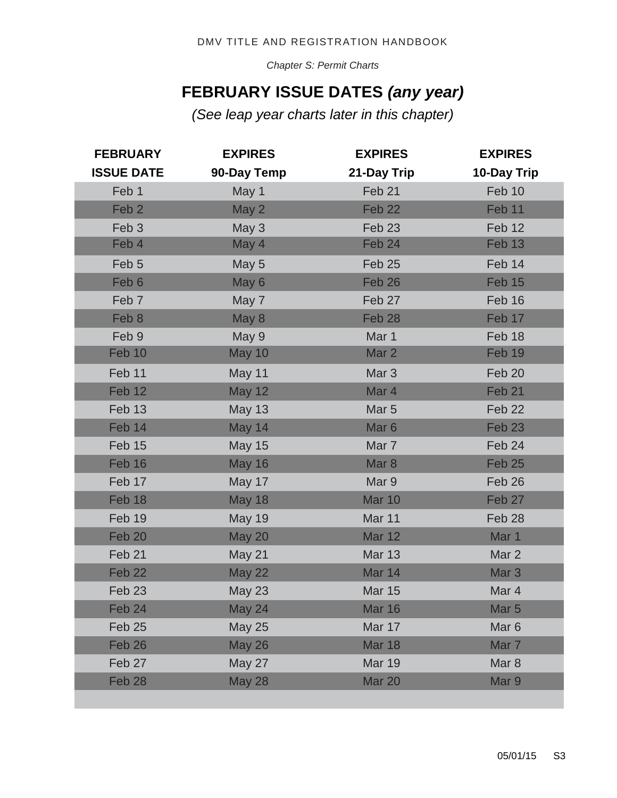*Chapter S: Permit Charts*

#### **FEBRUARY ISSUE DATES** *(any year)*

*(See leap year charts later in this chapter)* 

| <b>FEBRUARY</b>   | <b>EXPIRES</b> | <b>EXPIRES</b>    | <b>EXPIRES</b>    |
|-------------------|----------------|-------------------|-------------------|
| <b>ISSUE DATE</b> | 90-Day Temp    | 21-Day Trip       | 10-Day Trip       |
| Feb 1             | May 1          | Feb 21            | Feb 10            |
| Feb <sub>2</sub>  | May 2          | Feb 22            | Feb 11            |
| Feb <sub>3</sub>  | May 3          | Feb <sub>23</sub> | Feb 12            |
| Feb 4             | May 4          | Feb 24            | Feb 13            |
| Feb 5             | May 5          | Feb 25            | Feb 14            |
| Feb 6             | May 6          | Feb 26            | Feb 15            |
| Feb 7             | May 7          | Feb 27            | Feb 16            |
| Feb 8             | May 8          | Feb <sub>28</sub> | Feb 17            |
| Feb 9             | May 9          | Mar 1             | Feb 18            |
| Feb 10            | <b>May 10</b>  | Mar 2             | Feb 19            |
| Feb 11            | May 11         | Mar <sub>3</sub>  | Feb 20            |
| Feb 12            | <b>May 12</b>  | Mar 4             | Feb <sub>21</sub> |
| Feb 13            | <b>May 13</b>  | Mar <sub>5</sub>  | Feb 22            |
| Feb 14            | <b>May 14</b>  | Mar <sub>6</sub>  | Feb <sub>23</sub> |
| Feb 15            | <b>May 15</b>  | Mar 7             | Feb 24            |
| Feb 16            | <b>May 16</b>  | Mar <sub>8</sub>  | Feb 25            |
| Feb 17            | May 17         | Mar 9             | Feb 26            |
| Feb 18            | <b>May 18</b>  | <b>Mar 10</b>     | Feb 27            |
| Feb 19            | <b>May 19</b>  | Mar 11            | Feb <sub>28</sub> |
| Feb 20            | <b>May 20</b>  | <b>Mar 12</b>     | Mar 1             |
| Feb <sub>21</sub> | May 21         | <b>Mar 13</b>     | Mar 2             |
| Feb <sub>22</sub> | <b>May 22</b>  | Mar 14            | Mar <sub>3</sub>  |
| Feb <sub>23</sub> | <b>May 23</b>  | <b>Mar 15</b>     | Mar 4             |
| Feb 24            | <b>May 24</b>  | <b>Mar 16</b>     | Mar <sub>5</sub>  |
| Feb <sub>25</sub> | <b>May 25</b>  | Mar 17            | Mar <sub>6</sub>  |
| Feb 26            | <b>May 26</b>  | <b>Mar 18</b>     | Mar 7             |
| Feb 27            | <b>May 27</b>  | <b>Mar 19</b>     | Mar <sub>8</sub>  |
| Feb <sub>28</sub> | <b>May 28</b>  | Mar 20            | Mar 9             |
|                   |                |                   |                   |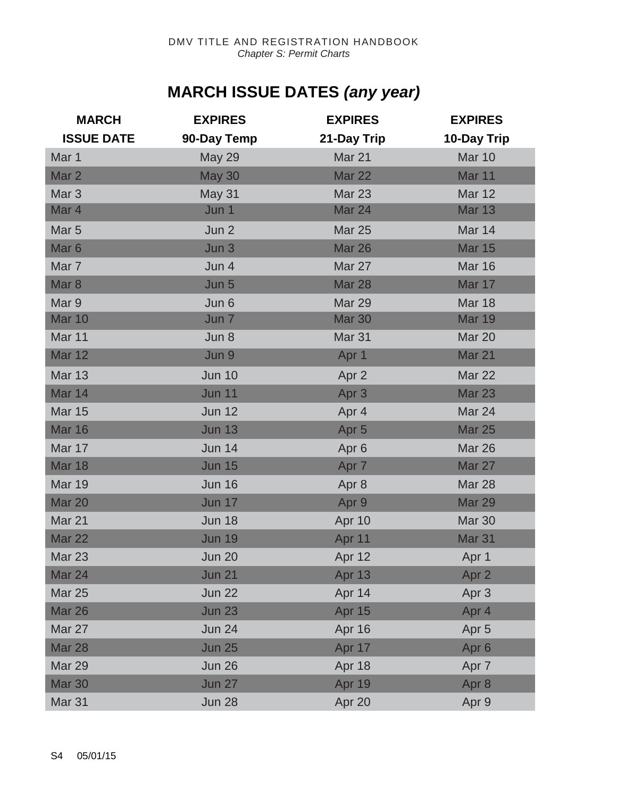## **MARCH ISSUE DATES** *(any year)*

| <b>MARCH</b>      | <b>EXPIRES</b>   | <b>EXPIRES</b>    | <b>EXPIRES</b>    |
|-------------------|------------------|-------------------|-------------------|
| <b>ISSUE DATE</b> | 90-Day Temp      | 21-Day Trip       | 10-Day Trip       |
| Mar 1             | <b>May 29</b>    | Mar 21            | Mar 10            |
| Mar <sub>2</sub>  | <b>May 30</b>    | <b>Mar 22</b>     | Mar 11            |
| Mar <sub>3</sub>  | May 31           | <b>Mar 23</b>     | <b>Mar 12</b>     |
| Mar 4             | Jun 1            | Mar 24            | <b>Mar 13</b>     |
| Mar <sub>5</sub>  | Jun 2            | <b>Mar 25</b>     | Mar 14            |
| Mar <sub>6</sub>  | Jun 3            | <b>Mar 26</b>     | <b>Mar 15</b>     |
| Mar 7             | Jun 4            | Mar 27            | <b>Mar 16</b>     |
| Mar <sub>8</sub>  | Jun 5            | <b>Mar 28</b>     | Mar 17            |
| Mar 9             | Jun 6            | Mar 29            | <b>Mar 18</b>     |
| <b>Mar 10</b>     | Jun <sub>7</sub> | <b>Mar 30</b>     | <b>Mar 19</b>     |
| Mar 11            | Jun 8            | Mar <sub>31</sub> | Mar 20            |
| <b>Mar 12</b>     | Jun 9            | Apr 1             | Mar 21            |
| <b>Mar 13</b>     | <b>Jun 10</b>    | Apr 2             | <b>Mar 22</b>     |
| Mar 14            | <b>Jun 11</b>    | Apr <sub>3</sub>  | <b>Mar 23</b>     |
| <b>Mar 15</b>     | <b>Jun 12</b>    | Apr 4             | Mar 24            |
| <b>Mar 16</b>     | <b>Jun 13</b>    | Apr <sub>5</sub>  | <b>Mar 25</b>     |
| Mar 17            | <b>Jun 14</b>    | Apr 6             | <b>Mar 26</b>     |
| <b>Mar 18</b>     | <b>Jun 15</b>    | Apr 7             | Mar 27            |
| <b>Mar 19</b>     | <b>Jun 16</b>    | Apr 8             | Mar 28            |
| <b>Mar 20</b>     | <b>Jun 17</b>    | Apr 9             | <b>Mar 29</b>     |
| Mar 21            | <b>Jun 18</b>    | Apr 10            | Mar 30            |
| Mar 22            | <b>Jun 19</b>    | Apr 11            | Mar <sub>31</sub> |
| <b>Mar 23</b>     | <b>Jun 20</b>    | Apr 12            | Apr 1             |
| Mar 24            | <b>Jun 21</b>    | Apr 13            | Apr 2             |
| <b>Mar 25</b>     | <b>Jun 22</b>    | Apr 14            | Apr 3             |
| <b>Mar 26</b>     | <b>Jun 23</b>    | Apr 15            | Apr 4             |
| Mar 27            | <b>Jun 24</b>    | Apr 16            | Apr <sub>5</sub>  |
| <b>Mar 28</b>     | <b>Jun 25</b>    | Apr 17            | Apr <sub>6</sub>  |
| <b>Mar 29</b>     | <b>Jun 26</b>    | Apr 18            | Apr 7             |
| <b>Mar 30</b>     | <b>Jun 27</b>    | Apr 19            | Apr 8             |
| <b>Mar 31</b>     | <b>Jun 28</b>    | Apr 20            | Apr 9             |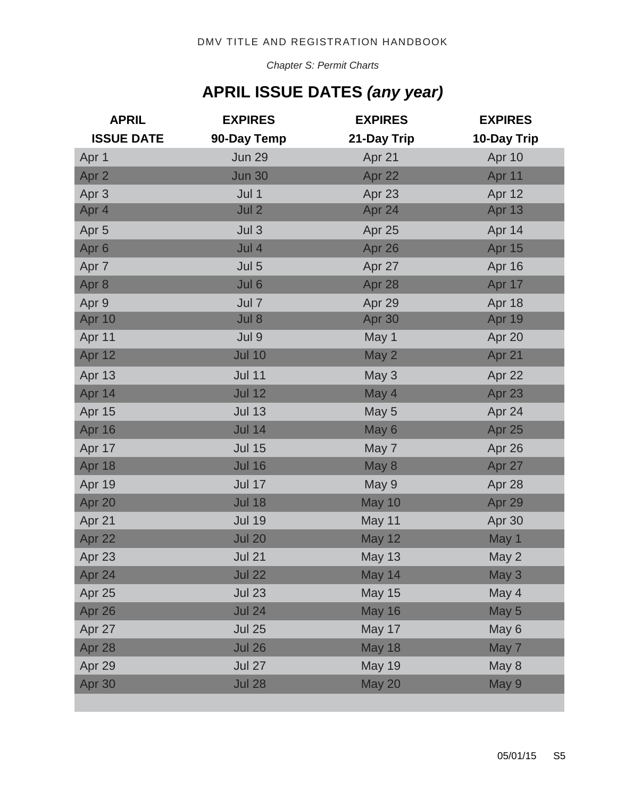*Chapter S: Permit Charts*

## **APRIL ISSUE DATES** *(any year)*

| <b>APRIL</b>      | <b>EXPIRES</b> | <b>EXPIRES</b> | <b>EXPIRES</b> |
|-------------------|----------------|----------------|----------------|
| <b>ISSUE DATE</b> | 90-Day Temp    | 21-Day Trip    | 10-Day Trip    |
| Apr 1             | <b>Jun 29</b>  | Apr 21         | Apr 10         |
| Apr 2             | <b>Jun 30</b>  | Apr 22         | Apr 11         |
| Apr <sub>3</sub>  | Jul 1          | Apr 23         | Apr 12         |
| Apr 4             | Jul 2          | Apr 24         | <b>Apr 13</b>  |
| Apr <sub>5</sub>  | Jul 3          | Apr 25         | Apr 14         |
| Apr <sub>6</sub>  | Jul 4          | Apr 26         | Apr 15         |
| Apr 7             | Jul 5          | Apr 27         | Apr 16         |
| Apr 8             | Jul 6          | Apr 28         | Apr 17         |
| Apr 9             | Jul 7          | Apr 29         | Apr 18         |
| Apr 10            | Jul 8          | Apr 30         | Apr 19         |
| Apr 11            | Jul 9          | May 1          | Apr 20         |
| Apr 12            | <b>Jul 10</b>  | May 2          | Apr 21         |
| Apr 13            | <b>Jul 11</b>  | May 3          | Apr 22         |
| Apr 14            | <b>Jul 12</b>  | May 4          | Apr 23         |
| Apr 15            | <b>Jul 13</b>  | May 5          | Apr 24         |
| Apr 16            | <b>Jul 14</b>  | May 6          | Apr 25         |
| Apr 17            | <b>Jul 15</b>  | May 7          | Apr 26         |
| Apr 18            | <b>Jul 16</b>  | May 8          | Apr 27         |
| Apr 19            | <b>Jul 17</b>  | May 9          | Apr 28         |
| Apr 20            | <b>Jul 18</b>  | <b>May 10</b>  | Apr 29         |
| Apr 21            | <b>Jul 19</b>  | May 11         | Apr 30         |
| Apr 22            | <b>Jul 20</b>  | <b>May 12</b>  | May 1          |
| Apr 23            | <b>Jul 21</b>  | <b>May 13</b>  | May 2          |
| Apr 24            | <b>Jul 22</b>  | May 14         | May 3          |
| Apr 25            | <b>Jul 23</b>  | <b>May 15</b>  | May 4          |
| Apr 26            | <b>Jul 24</b>  | <b>May 16</b>  | May 5          |
| Apr 27            | <b>Jul 25</b>  | May 17         | May 6          |
| Apr 28            | <b>Jul 26</b>  | <b>May 18</b>  | May 7          |
| Apr 29            | <b>Jul 27</b>  | <b>May 19</b>  | May 8          |
| Apr 30            | <b>Jul 28</b>  | <b>May 20</b>  | May 9          |
|                   |                |                |                |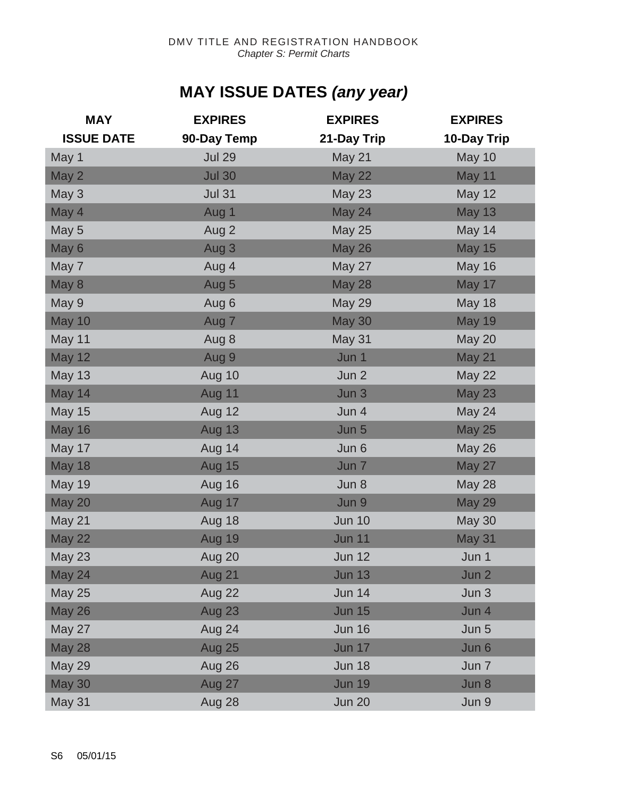## **MAY ISSUE DATES** *(any year)*

| <b>MAY</b>        | <b>EXPIRES</b> | <b>EXPIRES</b> | <b>EXPIRES</b> |
|-------------------|----------------|----------------|----------------|
| <b>ISSUE DATE</b> | 90-Day Temp    | 21-Day Trip    | 10-Day Trip    |
| May 1             | <b>Jul 29</b>  | May 21         | May 10         |
| May 2             | <b>Jul 30</b>  | <b>May 22</b>  | May 11         |
| May 3             | <b>Jul 31</b>  | <b>May 23</b>  | <b>May 12</b>  |
| May 4             | Aug 1          | May 24         | <b>May 13</b>  |
| May 5             | Aug 2          | <b>May 25</b>  | May 14         |
| May 6             | Aug 3          | <b>May 26</b>  | <b>May 15</b>  |
| May 7             | Aug 4          | May 27         | <b>May 16</b>  |
| May 8             | Aug 5          | <b>May 28</b>  | May 17         |
| May 9             | Aug 6          | <b>May 29</b>  | <b>May 18</b>  |
| <b>May 10</b>     | Aug 7          | <b>May 30</b>  | <b>May 19</b>  |
| May 11            | Aug 8          | <b>May 31</b>  | May 20         |
| <b>May 12</b>     | Aug 9          | Jun 1          | <b>May 21</b>  |
| <b>May 13</b>     | Aug 10         | Jun 2          | <b>May 22</b>  |
| May 14            | Aug 11         | Jun 3          | <b>May 23</b>  |
| <b>May 15</b>     | Aug 12         | Jun 4          | May 24         |
| <b>May 16</b>     | <b>Aug 13</b>  | Jun 5          | <b>May 25</b>  |
| May 17            | Aug 14         | Jun 6          | <b>May 26</b>  |
| <b>May 18</b>     | Aug 15         | Jun 7          | <b>May 27</b>  |
| <b>May 19</b>     | Aug 16         | Jun 8          | <b>May 28</b>  |
| <b>May 20</b>     | Aug 17         | Jun 9          | <b>May 29</b>  |
| May 21            | Aug 18         | <b>Jun 10</b>  | <b>May 30</b>  |
| <b>May 22</b>     | Aug 19         | <b>Jun 11</b>  | <b>May 31</b>  |
| <b>May 23</b>     | Aug 20         | <b>Jun 12</b>  | Jun 1          |
| May 24            | <b>Aug 21</b>  | <b>Jun 13</b>  | Jun 2          |
| <b>May 25</b>     | Aug 22         | <b>Jun 14</b>  | Jun 3          |
| <b>May 26</b>     | <b>Aug 23</b>  | <b>Jun 15</b>  | Jun 4          |
| May 27            | Aug 24         | <b>Jun 16</b>  | Jun 5          |
| <b>May 28</b>     | <b>Aug 25</b>  | <b>Jun 17</b>  | Jun 6          |
| <b>May 29</b>     | Aug 26         | <b>Jun 18</b>  | Jun 7          |
| <b>May 30</b>     | Aug 27         | <b>Jun 19</b>  | Jun 8          |
| May 31            | Aug 28         | <b>Jun 20</b>  | Jun 9          |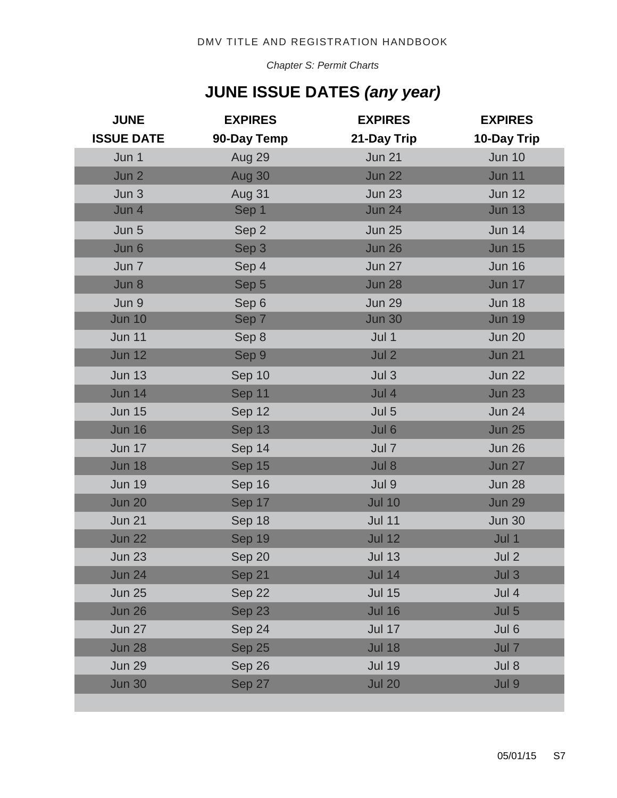*Chapter S: Permit Charts*

## **JUNE ISSUE DATES** *(any year)*

| <b>JUNE</b>       | <b>EXPIRES</b> | <b>EXPIRES</b> | <b>EXPIRES</b> |
|-------------------|----------------|----------------|----------------|
| <b>ISSUE DATE</b> | 90-Day Temp    | 21-Day Trip    | 10-Day Trip    |
| Jun 1             | Aug 29         | <b>Jun 21</b>  | <b>Jun 10</b>  |
| Jun 2             | Aug 30         | <b>Jun 22</b>  | <b>Jun 11</b>  |
| Jun 3             | Aug 31         | <b>Jun 23</b>  | <b>Jun 12</b>  |
| Jun 4             | Sep 1          | <b>Jun 24</b>  | <b>Jun 13</b>  |
| Jun 5             | Sep 2          | <b>Jun 25</b>  | <b>Jun 14</b>  |
| Jun 6             | Sep 3          | <b>Jun 26</b>  | <b>Jun 15</b>  |
| Jun 7             | Sep 4          | <b>Jun 27</b>  | <b>Jun 16</b>  |
| Jun 8             | Sep 5          | <b>Jun 28</b>  | <b>Jun 17</b>  |
| Jun 9             | Sep 6          | <b>Jun 29</b>  | <b>Jun 18</b>  |
| <b>Jun 10</b>     | Sep 7          | <b>Jun 30</b>  | <b>Jun 19</b>  |
| <b>Jun 11</b>     | Sep 8          | Jul 1          | <b>Jun 20</b>  |
| <b>Jun 12</b>     | Sep 9          | Jul 2          | <b>Jun 21</b>  |
| <b>Jun 13</b>     | Sep 10         | Jul 3          | <b>Jun 22</b>  |
| <b>Jun 14</b>     | Sep 11         | Jul 4          | <b>Jun 23</b>  |
| <b>Jun 15</b>     | Sep 12         | Jul 5          | <b>Jun 24</b>  |
| <b>Jun 16</b>     | Sep 13         | Jul 6          | <b>Jun 25</b>  |
| <b>Jun 17</b>     | Sep 14         | Jul 7          | <b>Jun 26</b>  |
| <b>Jun 18</b>     | Sep 15         | Jul 8          | <b>Jun 27</b>  |
| <b>Jun 19</b>     | Sep 16         | Jul 9          | <b>Jun 28</b>  |
| <b>Jun 20</b>     | Sep 17         | <b>Jul 10</b>  | <b>Jun 29</b>  |
| <b>Jun 21</b>     | Sep 18         | <b>Jul 11</b>  | <b>Jun 30</b>  |
| <b>Jun 22</b>     | Sep 19         | <b>Jul 12</b>  | Jul 1          |
| <b>Jun 23</b>     | Sep 20         | <b>Jul 13</b>  | Jul 2          |
| <b>Jun 24</b>     | Sep 21         | <b>Jul 14</b>  | Jul 3          |
| <b>Jun 25</b>     | Sep 22         | <b>Jul 15</b>  | Jul 4          |
| <b>Jun 26</b>     | Sep 23         | <b>Jul 16</b>  | Jul 5          |
| <b>Jun 27</b>     | Sep 24         | <b>Jul 17</b>  | Jul 6          |
| <b>Jun 28</b>     | Sep 25         | <b>Jul 18</b>  | Jul 7          |
| <b>Jun 29</b>     | Sep 26         | <b>Jul 19</b>  | Jul 8          |
| <b>Jun 30</b>     | Sep 27         | <b>Jul 20</b>  | Jul 9          |
|                   |                |                |                |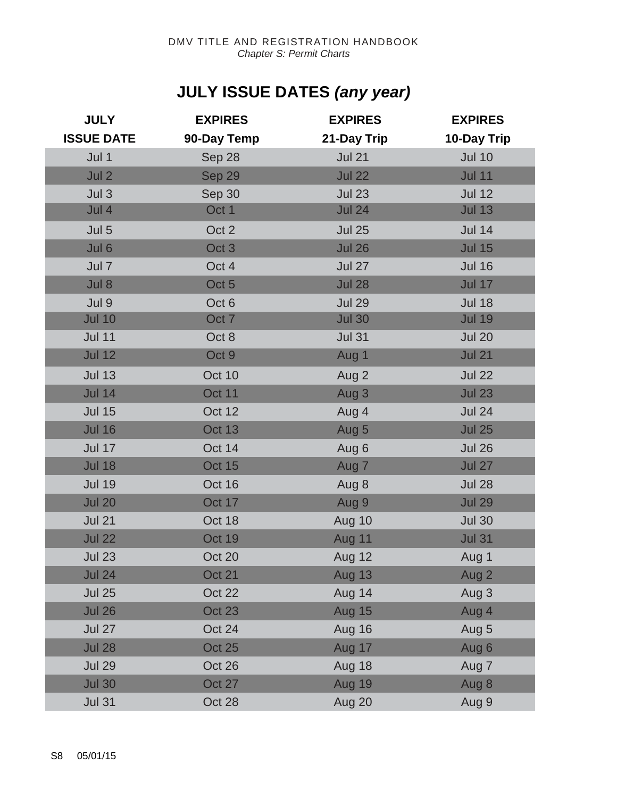## **JULY ISSUE DATES** *(any year)*

| <b>JULY</b>       | <b>EXPIRES</b>   | <b>EXPIRES</b> | <b>EXPIRES</b> |
|-------------------|------------------|----------------|----------------|
| <b>ISSUE DATE</b> | 90-Day Temp      | 21-Day Trip    | 10-Day Trip    |
| Jul 1             | Sep 28           | <b>Jul 21</b>  | <b>Jul 10</b>  |
| Jul 2             | Sep 29           | <b>Jul 22</b>  | <b>Jul 11</b>  |
| Jul <sub>3</sub>  | Sep 30           | <b>Jul 23</b>  | <b>Jul 12</b>  |
| Jul 4             | Oct 1            | <b>Jul 24</b>  | <b>Jul 13</b>  |
| Jul 5             | Oct 2            | <b>Jul 25</b>  | <b>Jul 14</b>  |
| Jul 6             | Oct <sub>3</sub> | <b>Jul 26</b>  | <b>Jul 15</b>  |
| Jul 7             | Oct 4            | <b>Jul 27</b>  | <b>Jul 16</b>  |
| Jul 8             | Oct 5            | <b>Jul 28</b>  | <b>Jul 17</b>  |
| Jul 9             | Oct 6            | <b>Jul 29</b>  | <b>Jul 18</b>  |
| <b>Jul 10</b>     | Oct <sub>7</sub> | <b>Jul 30</b>  | <b>Jul 19</b>  |
| <b>Jul 11</b>     | Oct 8            | <b>Jul 31</b>  | <b>Jul 20</b>  |
| <b>Jul 12</b>     | Oct 9            | Aug 1          | <b>Jul 21</b>  |
| <b>Jul 13</b>     | Oct 10           | Aug 2          | <b>Jul 22</b>  |
| <b>Jul 14</b>     | <b>Oct 11</b>    | Aug 3          | <b>Jul 23</b>  |
| <b>Jul 15</b>     | Oct 12           | Aug 4          | <b>Jul 24</b>  |
| <b>Jul 16</b>     | Oct 13           | Aug 5          | <b>Jul 25</b>  |
| <b>Jul 17</b>     | Oct 14           | Aug 6          | <b>Jul 26</b>  |
| <b>Jul 18</b>     | <b>Oct 15</b>    | Aug 7          | <b>Jul 27</b>  |
| <b>Jul 19</b>     | Oct 16           | Aug 8          | <b>Jul 28</b>  |
| <b>Jul 20</b>     | Oct 17           | Aug 9          | <b>Jul 29</b>  |
| <b>Jul 21</b>     | Oct 18           | Aug 10         | <b>Jul 30</b>  |
| <b>Jul 22</b>     | Oct 19           | <b>Aug 11</b>  | <b>Jul 31</b>  |
| <b>Jul 23</b>     | Oct 20           | Aug 12         | Aug 1          |
| <b>Jul 24</b>     | <b>Oct 21</b>    | <b>Aug 13</b>  | Aug 2          |
| <b>Jul 25</b>     | Oct 22           | Aug 14         | Aug 3          |
| <b>Jul 26</b>     | Oct 23           | <b>Aug 15</b>  | Aug 4          |
| <b>Jul 27</b>     | Oct 24           | <b>Aug 16</b>  | Aug 5          |
| <b>Jul 28</b>     | <b>Oct 25</b>    | Aug 17         | Aug 6          |
| <b>Jul 29</b>     | Oct 26           | <b>Aug 18</b>  | Aug 7          |
| <b>Jul 30</b>     | Oct 27           | <b>Aug 19</b>  | Aug 8          |
| <b>Jul 31</b>     | Oct 28           | Aug 20         | Aug 9          |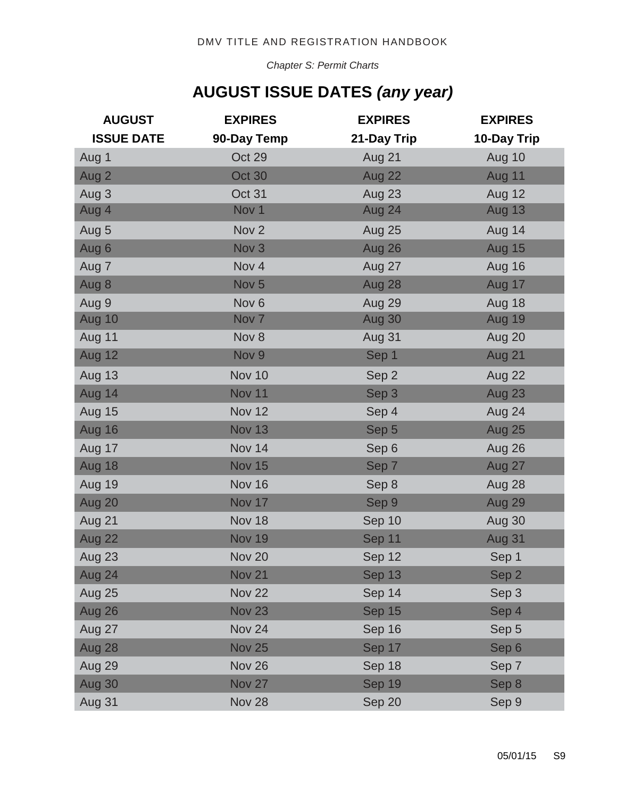*Chapter S: Permit Charts*

## **AUGUST ISSUE DATES** *(any year)*

| <b>AUGUST</b>     | <b>EXPIRES</b>   | <b>EXPIRES</b> | <b>EXPIRES</b> |
|-------------------|------------------|----------------|----------------|
| <b>ISSUE DATE</b> | 90-Day Temp      | 21-Day Trip    | 10-Day Trip    |
| Aug 1             | Oct 29           | Aug 21         | Aug 10         |
| Aug 2             | <b>Oct 30</b>    | Aug 22         | Aug 11         |
| Aug 3             | Oct 31           | Aug 23         | <b>Aug 12</b>  |
| Aug 4             | Nov 1            | Aug 24         | Aug 13         |
| Aug 5             | Nov <sub>2</sub> | <b>Aug 25</b>  | Aug 14         |
| Aug 6             | Nov <sub>3</sub> | Aug 26         | Aug 15         |
| Aug 7             | Nov 4            | Aug 27         | Aug 16         |
| Aug 8             | Nov <sub>5</sub> | Aug 28         | Aug 17         |
| Aug 9             | Nov <sub>6</sub> | Aug 29         | Aug 18         |
| Aug 10            | Nov <sub>7</sub> | Aug 30         | Aug 19         |
| <b>Aug 11</b>     | Nov 8            | Aug 31         | Aug 20         |
| Aug 12            | Nov <sub>9</sub> | Sep 1          | Aug 21         |
| <b>Aug 13</b>     | Nov 10           | Sep 2          | Aug 22         |
| Aug 14            | Nov 11           | Sep 3          | Aug 23         |
| <b>Aug 15</b>     | Nov 12           | Sep 4          | Aug 24         |
| Aug 16            | <b>Nov 13</b>    | Sep 5          | <b>Aug 25</b>  |
| Aug 17            | Nov 14           | Sep 6          | Aug 26         |
| Aug 18            | <b>Nov 15</b>    | Sep 7          | Aug 27         |
| <b>Aug 19</b>     | Nov 16           | Sep 8          | Aug 28         |
| Aug 20            | Nov 17           | Sep 9          | Aug 29         |
| Aug 21            | Nov 18           | Sep 10         | Aug 30         |
| Aug 22            | <b>Nov 19</b>    | Sep 11         | <b>Aug 31</b>  |
| Aug 23            | <b>Nov 20</b>    | Sep 12         | Sep 1          |
| Aug 24            | <b>Nov 21</b>    | Sep 13         | Sep 2          |
| <b>Aug 25</b>     | <b>Nov 22</b>    | Sep 14         | Sep 3          |
| Aug 26            | <b>Nov 23</b>    | Sep 15         | Sep 4          |
| Aug 27            | Nov 24           | Sep 16         | Sep 5          |
| Aug 28            | <b>Nov 25</b>    | Sep 17         | Sep 6          |
| Aug 29            | <b>Nov 26</b>    | Sep 18         | Sep 7          |
| Aug 30            | <b>Nov 27</b>    | Sep 19         | Sep 8          |
| Aug 31            | <b>Nov 28</b>    | Sep 20         | Sep 9          |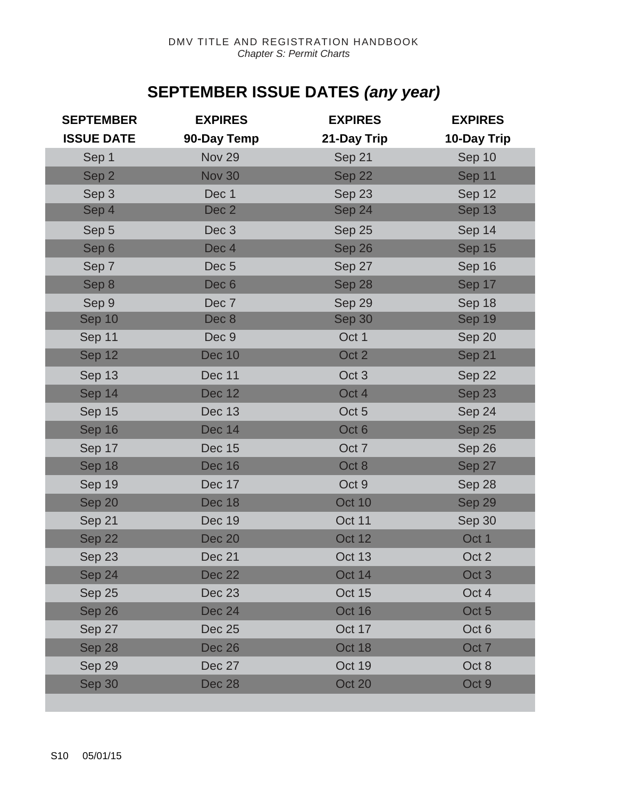## **SEPTEMBER ISSUE DATES** *(any year)*

| <b>SEPTEMBER</b>  | <b>EXPIRES</b>   | <b>EXPIRES</b>   | <b>EXPIRES</b>   |
|-------------------|------------------|------------------|------------------|
| <b>ISSUE DATE</b> | 90-Day Temp      | 21-Day Trip      | 10-Day Trip      |
| Sep 1             | <b>Nov 29</b>    | Sep 21           | Sep 10           |
| Sep 2             | <b>Nov 30</b>    | Sep 22           | Sep 11           |
| Sep 3             | Dec 1            | Sep 23           | Sep 12           |
| Sep 4             | Dec 2            | Sep 24           | Sep 13           |
| Sep 5             | Dec <sub>3</sub> | Sep 25           | Sep 14           |
| Sep 6             | Dec 4            | Sep 26           | Sep 15           |
| Sep 7             | Dec <sub>5</sub> | Sep 27           | Sep 16           |
| Sep 8             | Dec <sub>6</sub> | Sep 28           | Sep 17           |
| Sep 9             | Dec 7            | Sep 29           | Sep 18           |
| Sep 10            | Dec 8            | Sep 30           | Sep 19           |
| Sep 11            | Dec 9            | Oct 1            | Sep 20           |
| Sep 12            | <b>Dec 10</b>    | Oct 2            | Sep 21           |
| Sep 13            | <b>Dec 11</b>    | Oct <sub>3</sub> | Sep 22           |
| Sep 14            | <b>Dec 12</b>    | Oct 4            | Sep 23           |
| Sep 15            | <b>Dec 13</b>    | Oct 5            | Sep 24           |
| Sep 16            | <b>Dec 14</b>    | Oct 6            | Sep 25           |
| Sep 17            | Dec 15           | Oct 7            | Sep 26           |
| Sep 18            | <b>Dec 16</b>    | Oct 8            | Sep 27           |
| Sep 19            | Dec 17           | Oct 9            | Sep 28           |
| Sep 20            | <b>Dec 18</b>    | <b>Oct 10</b>    | Sep 29           |
| Sep 21            | Dec 19           | Oct 11           | Sep 30           |
| Sep 22            | <b>Dec 20</b>    | <b>Oct 12</b>    | Oct 1            |
| Sep 23            | Dec 21           | <b>Oct 13</b>    | Oct 2            |
| Sep 24            | <b>Dec 22</b>    | Oct 14           | Oct <sub>3</sub> |
| Sep 25            | <b>Dec 23</b>    | Oct 15           | Oct 4            |
| Sep 26            | <b>Dec 24</b>    | Oct 16           | Oct 5            |
| Sep 27            | <b>Dec 25</b>    | Oct 17           | Oct 6            |
| Sep 28            | <b>Dec 26</b>    | Oct 18           | Oct <sub>7</sub> |
| Sep 29            | Dec 27           | Oct 19           | Oct 8            |
| Sep 30            | <b>Dec 28</b>    | Oct 20           | Oct 9            |
|                   |                  |                  |                  |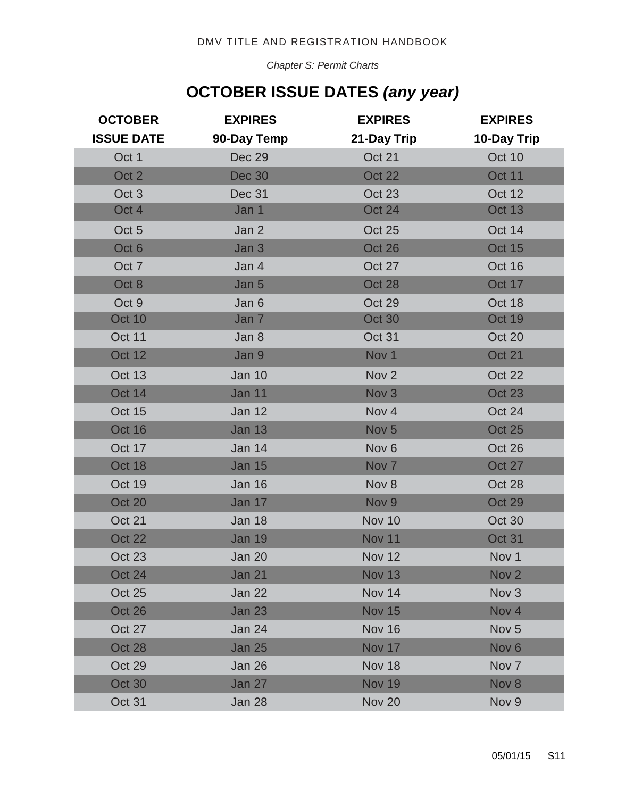*Chapter S: Permit Charts*

## **OCTOBER ISSUE DATES** *(any year)*

| <b>OCTOBER</b>    | <b>EXPIRES</b> | <b>EXPIRES</b>   | <b>EXPIRES</b>   |
|-------------------|----------------|------------------|------------------|
| <b>ISSUE DATE</b> | 90-Day Temp    | 21-Day Trip      | 10-Day Trip      |
| Oct 1             | Dec 29         | Oct 21           | Oct 10           |
| Oct 2             | <b>Dec 30</b>  | Oct 22           | Oct 11           |
| Oct <sub>3</sub>  | Dec 31         | Oct 23           | Oct 12           |
| Oct 4             | Jan 1          | Oct 24           | <b>Oct 13</b>    |
| Oct <sub>5</sub>  | Jan 2          | Oct 25           | Oct 14           |
| Oct 6             | Jan 3          | Oct 26           | Oct 15           |
| Oct <sub>7</sub>  | Jan 4          | Oct 27           | Oct 16           |
| Oct 8             | Jan 5          | Oct 28           | Oct 17           |
| Oct 9             | Jan 6          | Oct 29           | Oct 18           |
| <b>Oct 10</b>     | Jan 7          | Oct 30           | Oct 19           |
| Oct 11            | Jan 8          | Oct 31           | Oct 20           |
| <b>Oct 12</b>     | Jan 9          | Nov 1            | Oct 21           |
| Oct 13            | <b>Jan 10</b>  | Nov <sub>2</sub> | Oct 22           |
| Oct 14            | <b>Jan 11</b>  | Nov <sub>3</sub> | <b>Oct 23</b>    |
| Oct 15            | <b>Jan 12</b>  | Nov 4            | Oct 24           |
| Oct 16            | <b>Jan 13</b>  | Nov <sub>5</sub> | <b>Oct 25</b>    |
| Oct 17            | Jan 14         | Nov <sub>6</sub> | Oct 26           |
| Oct 18            | <b>Jan 15</b>  | Nov <sub>7</sub> | Oct 27           |
| Oct 19            | <b>Jan 16</b>  | Nov 8            | Oct 28           |
| Oct 20            | Jan 17         | Nov 9            | Oct 29           |
| Oct 21            | <b>Jan 18</b>  | <b>Nov 10</b>    | Oct 30           |
| <b>Oct 22</b>     | <b>Jan 19</b>  | Nov 11           | Oct 31           |
| <b>Oct 23</b>     | Jan 20         | <b>Nov 12</b>    | Nov <sub>1</sub> |
| Oct 24            | <b>Jan 21</b>  | <b>Nov 13</b>    | Nov <sub>2</sub> |
| <b>Oct 25</b>     | Jan 22         | Nov 14           | Nov <sub>3</sub> |
| Oct 26            | <b>Jan 23</b>  | <b>Nov 15</b>    | Nov 4            |
| <b>Oct 27</b>     | Jan 24         | Nov 16           | Nov <sub>5</sub> |
| Oct 28            | <b>Jan 25</b>  | Nov 17           | Nov <sub>6</sub> |
| Oct 29            | Jan 26         | <b>Nov 18</b>    | Nov <sub>7</sub> |
| <b>Oct 30</b>     | Jan 27         | <b>Nov 19</b>    | Nov 8            |
| Oct 31            | Jan 28         | <b>Nov 20</b>    | Nov <sub>9</sub> |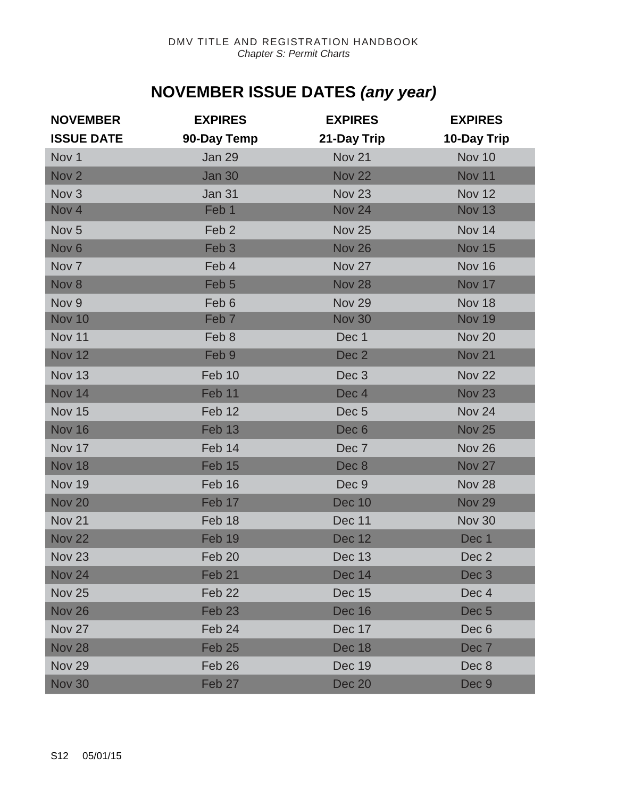## **NOVEMBER ISSUE DATES** *(any year)*

| <b>NOVEMBER</b>   | <b>EXPIRES</b>    | <b>EXPIRES</b>   | <b>EXPIRES</b>   |
|-------------------|-------------------|------------------|------------------|
| <b>ISSUE DATE</b> | 90-Day Temp       | 21-Day Trip      | 10-Day Trip      |
| Nov 1             | <b>Jan 29</b>     | Nov 21           | Nov 10           |
| Nov <sub>2</sub>  | <b>Jan 30</b>     | <b>Nov 22</b>    | <b>Nov 11</b>    |
| Nov <sub>3</sub>  | <b>Jan 31</b>     | <b>Nov 23</b>    | <b>Nov 12</b>    |
| Nov 4             | Feb 1             | <b>Nov 24</b>    | <b>Nov 13</b>    |
| Nov <sub>5</sub>  | Feb <sub>2</sub>  | <b>Nov 25</b>    | Nov 14           |
| Nov <sub>6</sub>  | Feb <sub>3</sub>  | <b>Nov 26</b>    | <b>Nov 15</b>    |
| Nov <sub>7</sub>  | Feb 4             | Nov 27           | Nov 16           |
| Nov 8             | Feb 5             | <b>Nov 28</b>    | Nov 17           |
| Nov <sub>9</sub>  | Feb 6             | <b>Nov 29</b>    | Nov 18           |
| <b>Nov 10</b>     | Feb <sub>7</sub>  | <b>Nov 30</b>    | <b>Nov 19</b>    |
| Nov 11            | Feb 8             | Dec 1            | <b>Nov 20</b>    |
| <b>Nov 12</b>     | Feb 9             | Dec 2            | <b>Nov 21</b>    |
| <b>Nov 13</b>     | Feb 10            | Dec <sub>3</sub> | <b>Nov 22</b>    |
| <b>Nov 14</b>     | Feb 11            | Dec <sub>4</sub> | <b>Nov 23</b>    |
| <b>Nov 15</b>     | Feb 12            | Dec <sub>5</sub> | <b>Nov 24</b>    |
| <b>Nov 16</b>     | Feb 13            | Dec <sub>6</sub> | <b>Nov 25</b>    |
| Nov 17            | Feb 14            | Dec 7            | <b>Nov 26</b>    |
| <b>Nov 18</b>     | Feb 15            | Dec 8            | <b>Nov 27</b>    |
| <b>Nov 19</b>     | Feb 16            | Dec 9            | <b>Nov 28</b>    |
| <b>Nov 20</b>     | Feb 17            | <b>Dec 10</b>    | <b>Nov 29</b>    |
| <b>Nov 21</b>     | Feb 18            | Dec 11           | <b>Nov 30</b>    |
| <b>Nov 22</b>     | Feb 19            | <b>Dec 12</b>    | Dec 1            |
| <b>Nov 23</b>     | Feb 20            | <b>Dec 13</b>    | Dec 2            |
| <b>Nov 24</b>     | Feb <sub>21</sub> | <b>Dec 14</b>    | Dec <sub>3</sub> |
| <b>Nov 25</b>     | Feb 22            | Dec 15           | Dec 4            |
| <b>Nov 26</b>     | Feb <sub>23</sub> | <b>Dec 16</b>    | Dec <sub>5</sub> |
| <b>Nov 27</b>     | Feb 24            | Dec 17           | Dec 6            |
| <b>Nov 28</b>     | Feb <sub>25</sub> | <b>Dec 18</b>    | Dec 7            |
| <b>Nov 29</b>     | Feb 26            | Dec 19           | Dec 8            |
| <b>Nov 30</b>     | Feb <sub>27</sub> | <b>Dec 20</b>    | Dec 9            |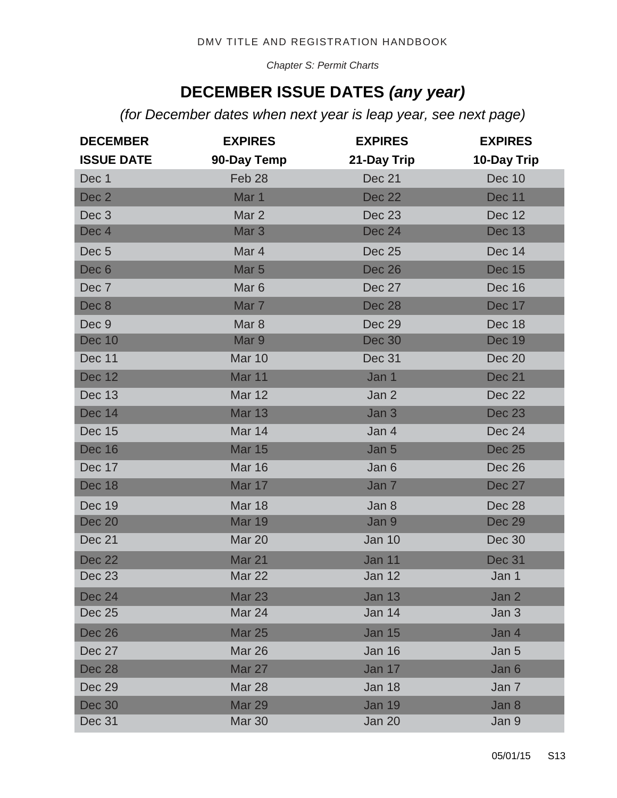*Chapter S: Permit Charts*

#### **DECEMBER ISSUE DATES** *(any year)*

*(for December dates when next year is leap year, see next page)* 

| <b>DECEMBER</b>   | <b>EXPIRES</b>   | <b>EXPIRES</b> | <b>EXPIRES</b> |
|-------------------|------------------|----------------|----------------|
| <b>ISSUE DATE</b> | 90-Day Temp      | 21-Day Trip    | 10-Day Trip    |
| Dec 1             | Feb 28           | Dec 21         | <b>Dec 10</b>  |
| Dec 2             | Mar 1            | <b>Dec 22</b>  | <b>Dec 11</b>  |
| Dec <sub>3</sub>  | Mar 2            | <b>Dec 23</b>  | <b>Dec 12</b>  |
| Dec 4             | Mar <sub>3</sub> | <b>Dec 24</b>  | <b>Dec 13</b>  |
| Dec <sub>5</sub>  | Mar 4            | <b>Dec 25</b>  | <b>Dec 14</b>  |
| Dec <sub>6</sub>  | Mar <sub>5</sub> | <b>Dec 26</b>  | <b>Dec 15</b>  |
| Dec 7             | Mar <sub>6</sub> | Dec 27         | Dec 16         |
| Dec 8             | Mar 7            | <b>Dec 28</b>  | Dec 17         |
| Dec 9             | Mar <sub>8</sub> | <b>Dec 29</b>  | Dec 18         |
| <b>Dec 10</b>     | Mar 9            | <b>Dec 30</b>  | <b>Dec 19</b>  |
| Dec 11            | Mar 10           | Dec 31         | Dec 20         |
| <b>Dec 12</b>     | Mar 11           | Jan 1          | <b>Dec 21</b>  |
| <b>Dec 13</b>     | <b>Mar 12</b>    | Jan 2          | Dec 22         |
| <b>Dec 14</b>     | <b>Mar 13</b>    | Jan 3          | <b>Dec 23</b>  |
| <b>Dec 15</b>     | Mar 14           | Jan 4          | Dec 24         |
| <b>Dec 16</b>     | <b>Mar 15</b>    | Jan 5          | <b>Dec 25</b>  |
| <b>Dec 17</b>     | <b>Mar 16</b>    | Jan 6          | Dec 26         |
| <b>Dec 18</b>     | Mar 17           | Jan 7          | <b>Dec 27</b>  |
| <b>Dec 19</b>     | <b>Mar 18</b>    | Jan 8          | Dec 28         |
| <b>Dec 20</b>     | <b>Mar 19</b>    | Jan 9          | <b>Dec 29</b>  |
| Dec 21            | Mar 20           | <b>Jan 10</b>  | Dec 30         |
| <b>Dec 22</b>     | Mar 21           | <b>Jan 11</b>  | <b>Dec 31</b>  |
| <b>Dec 23</b>     | <b>Mar 22</b>    | Jan 12         | Jan 1          |
| <b>Dec 24</b>     | <b>Mar 23</b>    | <b>Jan 13</b>  | Jan 2          |
| Dec 25            | Mar 24           | Jan 14         | Jan 3          |
| <b>Dec 26</b>     | <b>Mar 25</b>    | <b>Jan 15</b>  | Jan 4          |
| Dec 27            | Mar 26           | Jan 16         | Jan 5          |
| <b>Dec 28</b>     | <b>Mar 27</b>    | Jan 17         | Jan 6          |
| Dec 29            | Mar 28           | Jan 18         | Jan 7          |
| <b>Dec 30</b>     | <b>Mar 29</b>    | <b>Jan 19</b>  | Jan 8          |
| Dec 31            | <b>Mar 30</b>    | Jan 20         | Jan 9          |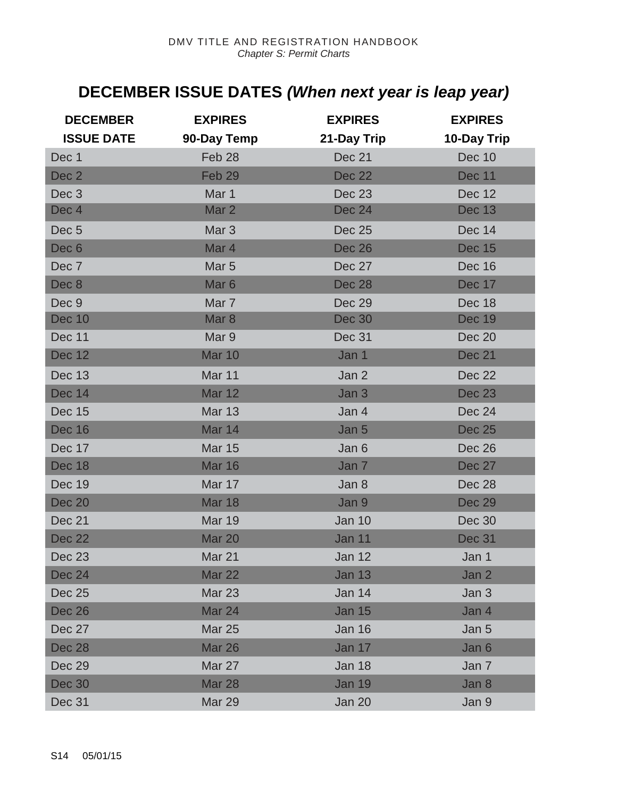## **DECEMBER ISSUE DATES** *(When next year is leap year)*

| <b>DECEMBER</b><br><b>ISSUE DATE</b> | <b>EXPIRES</b><br>90-Day Temp | <b>EXPIRES</b><br>21-Day Trip | <b>EXPIRES</b><br>10-Day Trip |
|--------------------------------------|-------------------------------|-------------------------------|-------------------------------|
| Dec 1                                | Feb 28                        | Dec 21                        | Dec 10                        |
| Dec <sub>2</sub>                     | Feb <sub>29</sub>             | <b>Dec 22</b>                 | <b>Dec 11</b>                 |
| Dec <sub>3</sub>                     | Mar 1                         | <b>Dec 23</b>                 | <b>Dec 12</b>                 |
| Dec 4                                | Mar 2                         | <b>Dec 24</b>                 | <b>Dec 13</b>                 |
| Dec <sub>5</sub>                     | Mar <sub>3</sub>              | <b>Dec 25</b>                 | Dec 14                        |
| Dec <sub>6</sub>                     | Mar 4                         | <b>Dec 26</b>                 | <b>Dec 15</b>                 |
| Dec 7                                | Mar <sub>5</sub>              | <b>Dec 27</b>                 | Dec 16                        |
| Dec 8                                | Mar <sub>6</sub>              | <b>Dec 28</b>                 | <b>Dec 17</b>                 |
| Dec 9                                | Mar 7                         | Dec 29                        | Dec 18                        |
| <b>Dec 10</b>                        | Mar <sub>8</sub>              | <b>Dec 30</b>                 | <b>Dec 19</b>                 |
| Dec 11                               | Mar 9                         | Dec 31                        | Dec 20                        |
| <b>Dec 12</b>                        | <b>Mar 10</b>                 | Jan 1                         | <b>Dec 21</b>                 |
| <b>Dec 13</b>                        | Mar 11                        | Jan 2                         | Dec 22                        |
| Dec 14                               | <b>Mar 12</b>                 | Jan 3                         | <b>Dec 23</b>                 |
| <b>Dec 15</b>                        | <b>Mar 13</b>                 | Jan 4                         | <b>Dec 24</b>                 |
| <b>Dec 16</b>                        | Mar 14                        | Jan 5                         | <b>Dec 25</b>                 |
| Dec 17                               | <b>Mar 15</b>                 | Jan 6                         | Dec 26                        |
| <b>Dec 18</b>                        | <b>Mar 16</b>                 | Jan 7                         | <b>Dec 27</b>                 |
| <b>Dec 19</b>                        | Mar 17                        | Jan 8                         | Dec 28                        |
| <b>Dec 20</b>                        | <b>Mar 18</b>                 | Jan 9                         | <b>Dec 29</b>                 |
| Dec 21                               | <b>Mar 19</b>                 | <b>Jan 10</b>                 | <b>Dec 30</b>                 |
| <b>Dec 22</b>                        | Mar 20                        | Jan 11                        | <b>Dec 31</b>                 |
| <b>Dec 23</b>                        | Mar 21                        | Jan 12                        | Jan 1                         |
| <b>Dec 24</b>                        | <b>Mar 22</b>                 | <b>Jan 13</b>                 | Jan 2                         |
| Dec 25                               | <b>Mar 23</b>                 | Jan 14                        | Jan 3                         |
| <b>Dec 26</b>                        | <b>Mar 24</b>                 | <b>Jan 15</b>                 | Jan 4                         |
| Dec 27                               | <b>Mar 25</b>                 | Jan 16                        | Jan 5                         |
| <b>Dec 28</b>                        | <b>Mar 26</b>                 | Jan 17                        | Jan 6                         |
| Dec 29                               | Mar 27                        | Jan 18                        | Jan 7                         |
| <b>Dec 30</b>                        | <b>Mar 28</b>                 | <b>Jan 19</b>                 | Jan 8                         |
| Dec 31                               | <b>Mar 29</b>                 | Jan 20                        | Jan 9                         |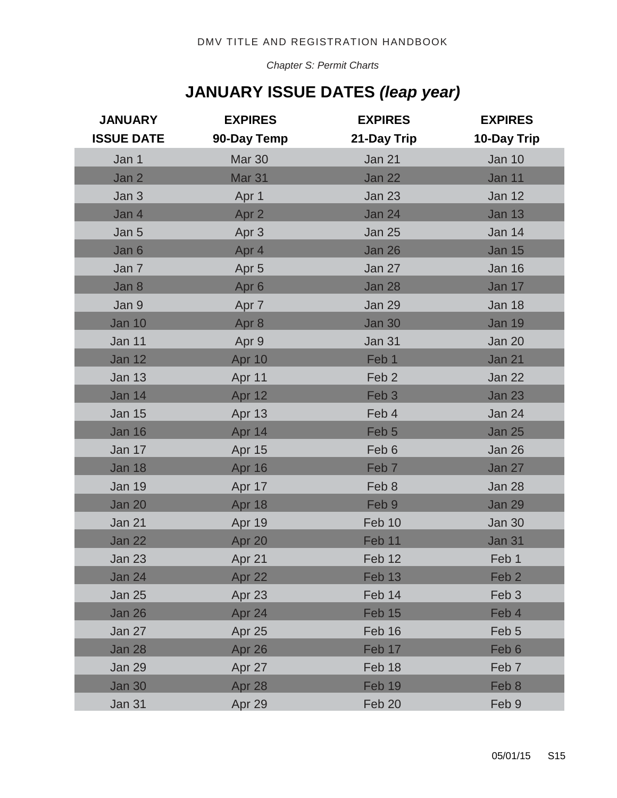*Chapter S: Permit Charts*

## **JANUARY ISSUE DATES** *(leap year)*

| <b>JANUARY</b><br><b>ISSUE DATE</b> | <b>EXPIRES</b><br>90-Day Temp | <b>EXPIRES</b><br>21-Day Trip | <b>EXPIRES</b><br>10-Day Trip |
|-------------------------------------|-------------------------------|-------------------------------|-------------------------------|
|                                     |                               |                               |                               |
| Jan 1                               | Mar 30                        | Jan 21                        | <b>Jan 10</b>                 |
| Jan 2                               | Mar <sub>31</sub>             | <b>Jan 22</b>                 | Jan 11                        |
| Jan 3                               | Apr 1                         | <b>Jan 23</b>                 | <b>Jan 12</b>                 |
| Jan 4                               | Apr 2                         | <b>Jan 24</b>                 | <b>Jan 13</b>                 |
| Jan 5                               | Apr 3                         | <b>Jan 25</b>                 | <b>Jan 14</b>                 |
| Jan 6                               | Apr 4                         | <b>Jan 26</b>                 | <b>Jan 15</b>                 |
| Jan 7                               | Apr <sub>5</sub>              | Jan 27                        | <b>Jan 16</b>                 |
| Jan 8                               | Apr <sub>6</sub>              | <b>Jan 28</b>                 | Jan 17                        |
| Jan 9                               | Apr 7                         | <b>Jan 29</b>                 | <b>Jan 18</b>                 |
| <b>Jan 10</b>                       | Apr 8                         | <b>Jan 30</b>                 | <b>Jan 19</b>                 |
| Jan 11                              | Apr 9                         | Jan 31                        | Jan 20                        |
| <b>Jan 12</b>                       | Apr 10                        | Feb 1                         | <b>Jan 21</b>                 |
| <b>Jan 13</b>                       | Apr 11                        | Feb <sub>2</sub>              | <b>Jan 22</b>                 |
| <b>Jan 14</b>                       | Apr 12                        | Feb <sub>3</sub>              | <b>Jan 23</b>                 |
| <b>Jan 15</b>                       | Apr 13                        | Feb 4                         | <b>Jan 24</b>                 |
| <b>Jan 16</b>                       | Apr 14                        | Feb <sub>5</sub>              | <b>Jan 25</b>                 |
| Jan 17                              | Apr 15                        | Feb 6                         | Jan 26                        |
| <b>Jan 18</b>                       | Apr 16                        | Feb <sub>7</sub>              | Jan 27                        |
| <b>Jan 19</b>                       | Apr 17                        | Feb 8                         | <b>Jan 28</b>                 |
| <b>Jan 20</b>                       | Apr 18                        | Feb 9                         | <b>Jan 29</b>                 |
| Jan 21                              | Apr 19                        | Feb 10                        | <b>Jan 30</b>                 |
| <b>Jan 22</b>                       | Apr 20                        | Feb 11                        | <b>Jan 31</b>                 |
| Jan 23                              | Apr 21                        | Feb 12                        | Feb 1                         |
| Jan 24                              | Apr 22                        | Feb 13                        | Feb <sub>2</sub>              |
| <b>Jan 25</b>                       | Apr 23                        | Feb 14                        | Feb <sub>3</sub>              |
| Jan 26                              | Apr 24                        | Feb 15                        | Feb 4                         |
| Jan 27                              | Apr 25                        | Feb 16                        | Feb <sub>5</sub>              |
| <b>Jan 28</b>                       | Apr 26                        | Feb 17                        | Feb 6                         |
| <b>Jan 29</b>                       | Apr 27                        | Feb 18                        | Feb <sub>7</sub>              |
| <b>Jan 30</b>                       | Apr 28                        | Feb 19                        | Feb 8                         |
|                                     |                               |                               |                               |
| Jan 31                              | Apr 29                        | Feb 20                        | Feb 9                         |